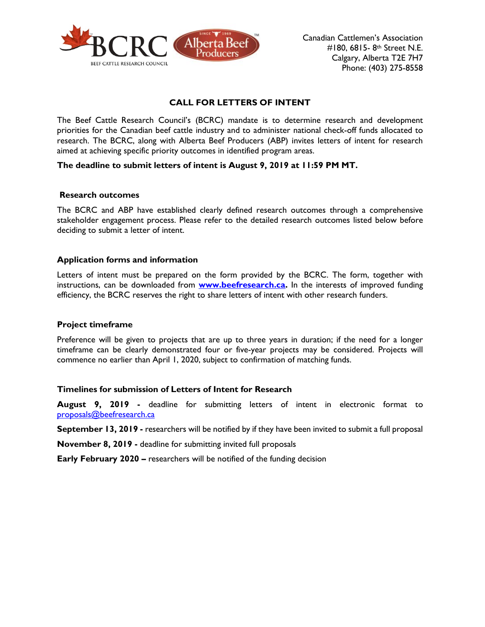

# **CALL FOR LETTERS OF INTENT**

The Beef Cattle Research Council's (BCRC) mandate is to determine research and development priorities for the Canadian beef cattle industry and to administer national check-off funds allocated to research. The BCRC, along with Alberta Beef Producers (ABP) invites letters of intent for research aimed at achieving specific priority outcomes in identified program areas.

#### **The deadline to submit letters of intent is August 9, 2019 at 11:59 PM MT.**

#### **Research outcomes**

The BCRC and ABP have established clearly defined research outcomes through a comprehensive stakeholder engagement process. Please refer to the detailed research outcomes listed below before deciding to submit a letter of intent.

#### **Application forms and information**

Letters of intent must be prepared on the form provided by the BCRC. The form, together with instructions, can be downloaded from **[www.beefresearch.ca.](http://www.beefresearch.ca/)** In the interests of improved funding efficiency, the BCRC reserves the right to share letters of intent with other research funders.

#### **Project timeframe**

Preference will be given to projects that are up to three years in duration; if the need for a longer timeframe can be clearly demonstrated four or five-year projects may be considered. Projects will commence no earlier than April 1, 2020, subject to confirmation of matching funds.

#### **Timelines for submission of Letters of Intent for Research**

**August 9, 2019 -** deadline for submitting letters of intent in electronic format to [proposals@beefresearch.ca](mailto:proposals@beefresearch.ca)

**September 13, 2019 -** researchers will be notified by if they have been invited to submit a full proposal

**November 8, 2019 -** deadline for submitting invited full proposals

**Early February 2020 –** researchers will be notified of the funding decision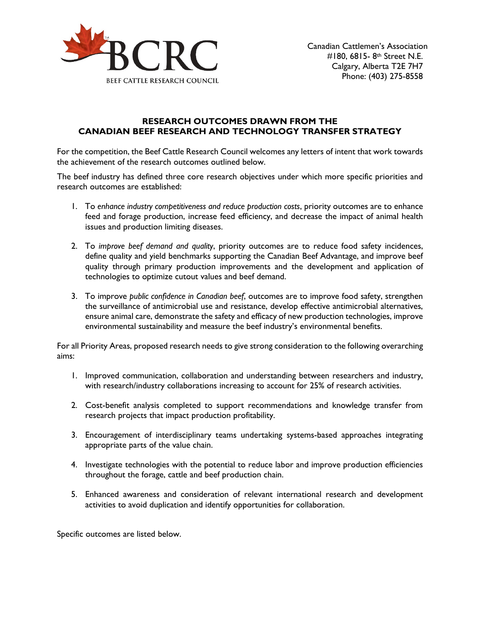

# **RESEARCH OUTCOMES DRAWN FROM THE CANADIAN BEEF RESEARCH AND TECHNOLOGY TRANSFER STRATEGY**

For the competition, the Beef Cattle Research Council welcomes any letters of intent that work towards the achievement of the research outcomes outlined below.

The beef industry has defined three core research objectives under which more specific priorities and research outcomes are established:

- 1. To *enhance industry competitiveness and reduce production costs*, priority outcomes are to enhance feed and forage production, increase feed efficiency, and decrease the impact of animal health issues and production limiting diseases.
- 2. To *improve beef demand and quality*, priority outcomes are to reduce food safety incidences, define quality and yield benchmarks supporting the Canadian Beef Advantage, and improve beef quality through primary production improvements and the development and application of technologies to optimize cutout values and beef demand.
- 3. To improve *public confidence in Canadian beef*, outcomes are to improve food safety, strengthen the surveillance of antimicrobial use and resistance, develop effective antimicrobial alternatives, ensure animal care, demonstrate the safety and efficacy of new production technologies, improve environmental sustainability and measure the beef industry's environmental benefits.

For all Priority Areas, proposed research needs to give strong consideration to the following overarching aims:

- 1. Improved communication, collaboration and understanding between researchers and industry, with research/industry collaborations increasing to account for 25% of research activities.
- 2. Cost-benefit analysis completed to support recommendations and knowledge transfer from research projects that impact production profitability.
- 3. Encouragement of interdisciplinary teams undertaking systems-based approaches integrating appropriate parts of the value chain.
- 4. Investigate technologies with the potential to reduce labor and improve production efficiencies throughout the forage, cattle and beef production chain.
- 5. Enhanced awareness and consideration of relevant international research and development activities to avoid duplication and identify opportunities for collaboration.

Specific outcomes are listed below.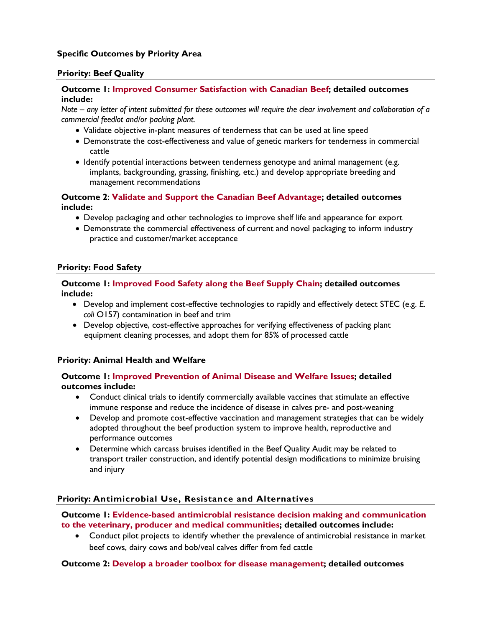# **Specific Outcomes by Priority Area**

# **Priority: Beef Quality**

# **Outcome 1: Improved Consumer Satisfaction with Canadian Beef; detailed outcomes include:**

*Note – any letter of intent submitted for these outcomes will require the clear involvement and collaboration of a commercial feedlot and/or packing plant.*

- Validate objective in-plant measures of tenderness that can be used at line speed
- Demonstrate the cost-effectiveness and value of genetic markers for tenderness in commercial cattle
- Identify potential interactions between tenderness genotype and animal management (e.g. implants, backgrounding, grassing, finishing, etc.) and develop appropriate breeding and management recommendations

**Outcome 2**: **Validate and Support the Canadian Beef Advantage; detailed outcomes include:**

- Develop packaging and other technologies to improve shelf life and appearance for export
- Demonstrate the commercial effectiveness of current and novel packaging to inform industry practice and customer/market acceptance

#### **Priority: Food Safety**

# **Outcome 1: Improved Food Safety along the Beef Supply Chain; detailed outcomes include:**

- Develop and implement cost-effective technologies to rapidly and effectively detect STEC (e.g. *E. coli* O157) contamination in beef and trim
- Develop objective, cost-effective approaches for verifying effectiveness of packing plant equipment cleaning processes, and adopt them for 85% of processed cattle

# **Priority: Animal Health and Welfare**

#### **Outcome 1: Improved Prevention of Animal Disease and Welfare Issues; detailed outcomes include:**

- Conduct clinical trials to identify commercially available vaccines that stimulate an effective immune response and reduce the incidence of disease in calves pre- and post-weaning
- Develop and promote cost-effective vaccination and management strategies that can be widely adopted throughout the beef production system to improve health, reproductive and performance outcomes
- Determine which carcass bruises identified in the Beef Quality Audit may be related to transport trailer construction, and identify potential design modifications to minimize bruising and injury

# **Priority: Antimicrobial Use, Resistance and Alternatives**

**Outcome 1: Evidence-based antimicrobial resistance decision making and communication to the veterinary, producer and medical communities; detailed outcomes include:**

• Conduct pilot projects to identify whether the prevalence of antimicrobial resistance in market beef cows, dairy cows and bob/veal calves differ from fed cattle

# **Outcome 2: Develop a broader toolbox for disease management; detailed outcomes**